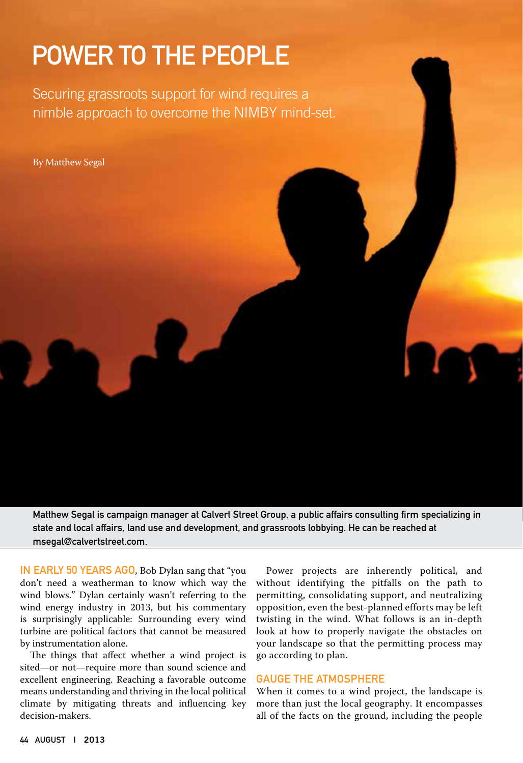# POWER TO THE PEOPLE

Securing grassroots support for wind requires a nimble approach to overcome the NIMBY mind-set.

By Matthew Segal

Matthew Segal is campaign manager at Calvert Street Group, a public affairs consulting firm specializing in state and local affairs, land use and development, and grassroots lobbying. He can be reached at [msegal@calvertstreet.com.](mailto:msegal@calvertstreet.com?subject=Referred by Wind Systems Mag)

IN EARLY 50 YEARS AGO, Bob Dylan sang that "you don't need a weatherman to know which way the wind blows." Dylan certainly wasn't referring to the wind energy industry in 2013, but his commentary is surprisingly applicable: Surrounding every wind turbine are political factors that cannot be measured by instrumentation alone.

The things that affect whether a wind project is sited—or not—require more than sound science and excellent engineering. Reaching a favorable outcome means understanding and thriving in the local political climate by mitigating threats and influencing key decision-makers.

Power projects are inherently political, and without identifying the pitfalls on the path to permitting, consolidating support, and neutralizing opposition, even the best-planned efforts may be left twisting in the wind. What follows is an in-depth look at how to properly navigate the obstacles on your landscape so that the permitting process may go according to plan.

# Gauge the Atmosphere

When it comes to a wind project, the landscape is more than just the local geography. It encompasses all of the facts on the ground, including the people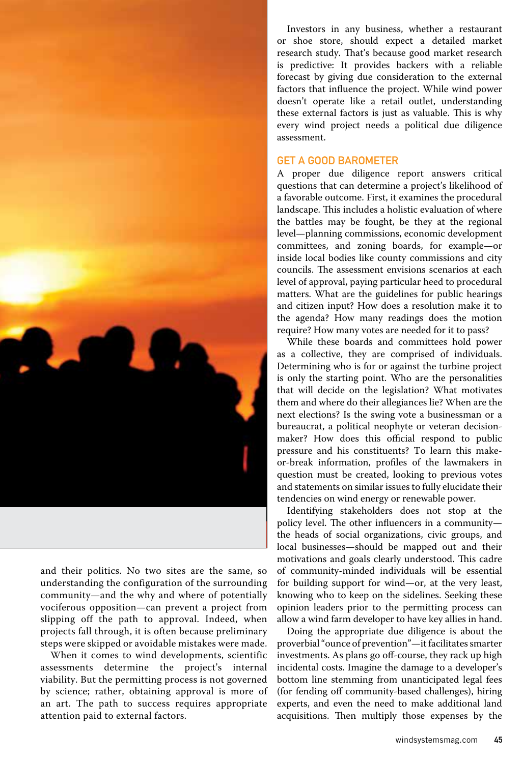

and their politics. No two sites are the same, so understanding the configuration of the surrounding community—and the why and where of potentially vociferous opposition—can prevent a project from slipping off the path to approval. Indeed, when projects fall through, it is often because preliminary steps were skipped or avoidable mistakes were made.

When it comes to wind developments, scientific assessments determine the project's internal viability. But the permitting process is not governed by science; rather, obtaining approval is more of an art. The path to success requires appropriate attention paid to external factors.

Investors in any business, whether a restaurant or shoe store, should expect a detailed market research study. That's because good market research is predictive: It provides backers with a reliable forecast by giving due consideration to the external factors that influence the project. While wind power doesn't operate like a retail outlet, understanding these external factors is just as valuable. This is why every wind project needs a political due diligence assessment.

## Get a Good Barometer

A proper due diligence report answers critical questions that can determine a project's likelihood of a favorable outcome. First, it examines the procedural landscape. This includes a holistic evaluation of where the battles may be fought, be they at the regional level—planning commissions, economic development committees, and zoning boards, for example—or inside local bodies like county commissions and city councils. The assessment envisions scenarios at each level of approval, paying particular heed to procedural matters. What are the guidelines for public hearings and citizen input? How does a resolution make it to the agenda? How many readings does the motion require? How many votes are needed for it to pass?

While these boards and committees hold power as a collective, they are comprised of individuals. Determining who is for or against the turbine project is only the starting point. Who are the personalities that will decide on the legislation? What motivates them and where do their allegiances lie? When are the next elections? Is the swing vote a businessman or a bureaucrat, a political neophyte or veteran decisionmaker? How does this official respond to public pressure and his constituents? To learn this makeor-break information, profiles of the lawmakers in question must be created, looking to previous votes and statements on similar issues to fully elucidate their tendencies on wind energy or renewable power.

Identifying stakeholders does not stop at the policy level. The other influencers in a community the heads of social organizations, civic groups, and local businesses—should be mapped out and their motivations and goals clearly understood. This cadre of community-minded individuals will be essential for building support for wind—or, at the very least, knowing who to keep on the sidelines. Seeking these opinion leaders prior to the permitting process can allow a wind farm developer to have key allies in hand.

Doing the appropriate due diligence is about the proverbial "ounce of prevention"—it facilitates smarter investments. As plans go off-course, they rack up high incidental costs. Imagine the damage to a developer's bottom line stemming from unanticipated legal fees (for fending off community-based challenges), hiring experts, and even the need to make additional land acquisitions. Then multiply those expenses by the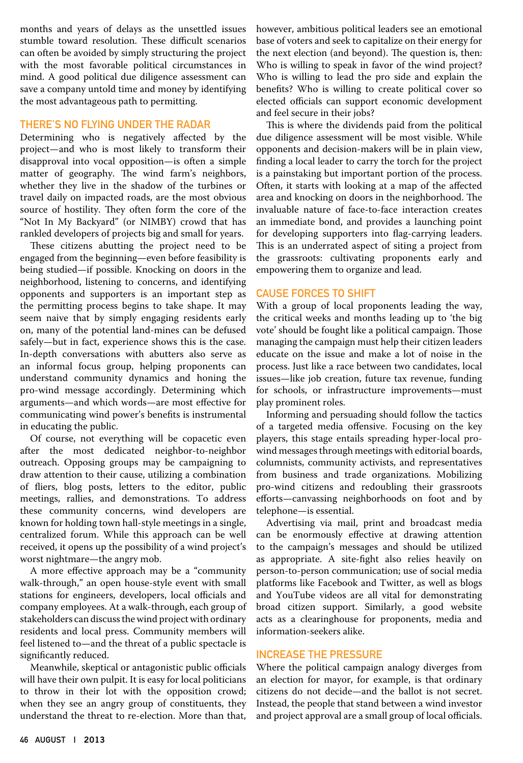months and years of delays as the unsettled issues stumble toward resolution. These difficult scenarios can often be avoided by simply structuring the project with the most favorable political circumstances in mind. A good political due diligence assessment can save a company untold time and money by identifying the most advantageous path to permitting.

#### There's No Flying Under the Radar

Determining who is negatively affected by the project—and who is most likely to transform their disapproval into vocal opposition—is often a simple matter of geography. The wind farm's neighbors, whether they live in the shadow of the turbines or travel daily on impacted roads, are the most obvious source of hostility. They often form the core of the "Not In My Backyard" (or NIMBY) crowd that has rankled developers of projects big and small for years.

These citizens abutting the project need to be engaged from the beginning—even before feasibility is being studied—if possible. Knocking on doors in the neighborhood, listening to concerns, and identifying opponents and supporters is an important step as the permitting process begins to take shape. It may seem naive that by simply engaging residents early on, many of the potential land-mines can be defused safely—but in fact, experience shows this is the case. In-depth conversations with abutters also serve as an informal focus group, helping proponents can understand community dynamics and honing the pro-wind message accordingly. Determining which arguments—and which words—are most effective for communicating wind power's benefits is instrumental in educating the public.

Of course, not everything will be copacetic even after the most dedicated neighbor-to-neighbor outreach. Opposing groups may be campaigning to draw attention to their cause, utilizing a combination of fliers, blog posts, letters to the editor, public meetings, rallies, and demonstrations. To address these community concerns, wind developers are known for holding town hall-style meetings in a single, centralized forum. While this approach can be well received, it opens up the possibility of a wind project's worst nightmare—the angry mob.

A more effective approach may be a "community walk-through," an open house-style event with small stations for engineers, developers, local officials and company employees. At a walk-through, each group of stakeholders can discuss the wind project with ordinary residents and local press. Community members will feel listened to—and the threat of a public spectacle is significantly reduced.

Meanwhile, skeptical or antagonistic public officials will have their own pulpit. It is easy for local politicians to throw in their lot with the opposition crowd; when they see an angry group of constituents, they understand the threat to re-election. More than that, however, ambitious political leaders see an emotional base of voters and seek to capitalize on their energy for the next election (and beyond). The question is, then: Who is willing to speak in favor of the wind project? Who is willing to lead the pro side and explain the benefits? Who is willing to create political cover so elected officials can support economic development and feel secure in their jobs?

This is where the dividends paid from the political due diligence assessment will be most visible. While opponents and decision-makers will be in plain view, finding a local leader to carry the torch for the project is a painstaking but important portion of the process. Often, it starts with looking at a map of the affected area and knocking on doors in the neighborhood. The invaluable nature of face-to-face interaction creates an immediate bond, and provides a launching point for developing supporters into flag-carrying leaders. This is an underrated aspect of siting a project from the grassroots: cultivating proponents early and empowering them to organize and lead.

#### Cause Forces to Shift

With a group of local proponents leading the way, the critical weeks and months leading up to 'the big vote' should be fought like a political campaign. Those managing the campaign must help their citizen leaders educate on the issue and make a lot of noise in the process. Just like a race between two candidates, local issues—like job creation, future tax revenue, funding for schools, or infrastructure improvements—must play prominent roles.

Informing and persuading should follow the tactics of a targeted media offensive. Focusing on the key players, this stage entails spreading hyper-local prowind messages through meetings with editorial boards, columnists, community activists, and representatives from business and trade organizations. Mobilizing pro-wind citizens and redoubling their grassroots efforts—canvassing neighborhoods on foot and by telephone—is essential.

Advertising via mail, print and broadcast media can be enormously effective at drawing attention to the campaign's messages and should be utilized as appropriate. A site-fight also relies heavily on person-to-person communication; use of social media platforms like Facebook and Twitter, as well as blogs and YouTube videos are all vital for demonstrating broad citizen support. Similarly, a good website acts as a clearinghouse for proponents, media and information-seekers alike.

# Increase the Pressure

Where the political campaign analogy diverges from an election for mayor, for example, is that ordinary citizens do not decide—and the ballot is not secret. Instead, the people that stand between a wind investor and project approval are a small group of local officials.